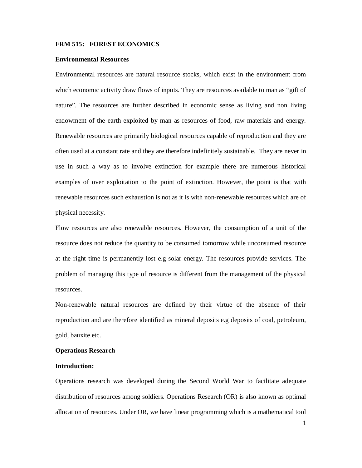#### **FRM 515: FOREST ECONOMICS**

#### **Environmental Resources**

Environmental resources are natural resource stocks, which exist in the environment from which economic activity draw flows of inputs. They are resources available to man as "gift of nature". The resources are further described in economic sense as living and non living endowment of the earth exploited by man as resources of food, raw materials and energy. Renewable resources are primarily biological resources capable of reproduction and they are often used at a constant rate and they are therefore indefinitely sustainable. They are never in use in such a way as to involve extinction for example there are numerous historical examples of over exploitation to the point of extinction. However, the point is that with renewable resources such exhaustion is not as it is with non-renewable resources which are of physical necessity.

Flow resources are also renewable resources. However, the consumption of a unit of the resource does not reduce the quantity to be consumed tomorrow while unconsumed resource at the right time is permanently lost e.g solar energy. The resources provide services. The problem of managing this type of resource is different from the management of the physical resources.

Non-renewable natural resources are defined by their virtue of the absence of their reproduction and are therefore identified as mineral deposits e.g deposits of coal, petroleum, gold, bauxite etc.

## **Operations Research**

## **Introduction:**

Operations research was developed during the Second World War to facilitate adequate distribution of resources among soldiers. Operations Research (OR) is also known as optimal allocation of resources. Under OR, we have linear programming which is a mathematical tool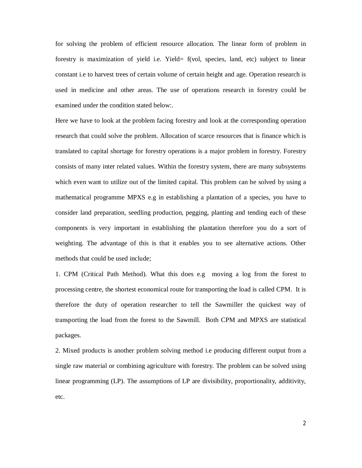for solving the problem of efficient resource allocation. The linear form of problem in forestry is maximization of yield i.e. Yield= f(vol, species, land, etc) subject to linear constant i.e to harvest trees of certain volume of certain height and age. Operation research is used in medicine and other areas. The use of operations research in forestry could be examined under the condition stated below:.

Here we have to look at the problem facing forestry and look at the corresponding operation research that could solve the problem. Allocation of scarce resources that is finance which is translated to capital shortage for forestry operations is a major problem in forestry. Forestry consists of many inter related values. Within the forestry system, there are many subsystems which even want to utilize out of the limited capital. This problem can be solved by using a mathematical programme MPXS e.g in establishing a plantation of a species, you have to consider land preparation, seedling production, pegging, planting and tending each of these components is very important in establishing the plantation therefore you do a sort of weighting. The advantage of this is that it enables you to see alternative actions. Other methods that could be used include;

1. CPM (Critical Path Method). What this does e.g moving a log from the forest to processing centre, the shortest economical route for transporting the load is called CPM. It is therefore the duty of operation researcher to tell the Sawmiller the quickest way of transporting the load from the forest to the Sawmill. Both CPM and MPXS are statistical packages.

2. Mixed products is another problem solving method i.e producing different output from a single raw material or combining agriculture with forestry. The problem can be solved using linear programming (LP). The assumptions of LP are divisibility, proportionality, additivity, etc.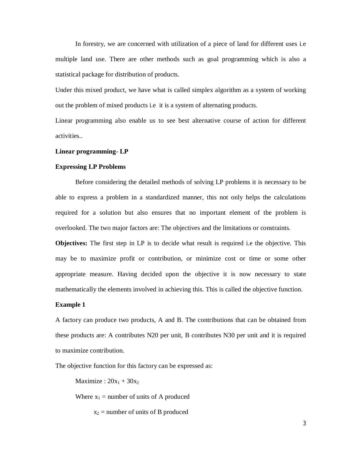In forestry, we are concerned with utilization of a piece of land for different uses i.e multiple land use. There are other methods such as goal programming which is also a statistical package for distribution of products.

Under this mixed product, we have what is called simplex algorithm as a system of working out the problem of mixed products i.e it is a system of alternating products.

Linear programming also enable us to see best alternative course of action for different activities..

#### **Linear programming- LP**

#### **Expressing LP Problems**

Before considering the detailed methods of solving LP problems it is necessary to be able to express a problem in a standardized manner, this not only helps the calculations required for a solution but also ensures that no important element of the problem is overlooked. The two major factors are: The objectives and the limitations or constraints.

**Objectives:** The first step in LP is to decide what result is required i.e the objective. This may be to maximize profit or contribution, or minimize cost or time or some other appropriate measure. Having decided upon the objective it is now necessary to state mathematically the elements involved in achieving this. This is called the objective function.

### **Example 1**

A factory can produce two products, A and B. The contributions that can be obtained from these products are: A contributes N20 per unit, B contributes N30 per unit and it is required to maximize contribution.

The objective function for this factory can be expressed as:

Maximize :  $20x_1 + 30x_2$ 

Where  $x_1$  = number of units of A produced

 $x_2$  = number of units of B produced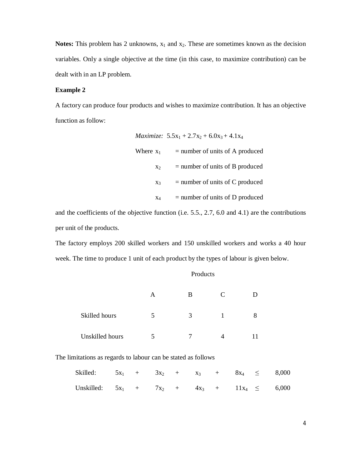**Notes:** This problem has 2 unknowns,  $x_1$  and  $x_2$ . These are sometimes known as the decision variables. Only a single objective at the time (in this case, to maximize contribution) can be dealt with in an LP problem.

# **Example 2**

A factory can produce four products and wishes to maximize contribution. It has an objective function as follow:

|                | <i>Maximize:</i> $5.5x_1 + 2.7x_2 + 6.0x_3 + 4.1x_4$ |
|----------------|------------------------------------------------------|
| Where $x_1$    | $=$ number of units of A produced                    |
| X <sub>2</sub> | $=$ number of units of B produced                    |
| $X_3$          | $=$ number of units of C produced                    |
| $X_4$          | $=$ number of units of D produced                    |

and the coefficients of the objective function (i.e. 5.5., 2.7, 6.0 and 4.1) are the contributions per unit of the products.

The factory employs 200 skilled workers and 150 unskilled workers and works a 40 hour week. The time to produce 1 unit of each product by the types of labour is given below.

|                 | A | B | C |  |
|-----------------|---|---|---|--|
| Skilled hours   |   | 3 |   |  |
| Unskilled hours |   |   |   |  |

The limitations as regards to labour can be stated as follows

| Skilled: $5x_1 + 3x_2 + x_3 + 8x_4 \leq 8,000$     |  |  |  |  |  |
|----------------------------------------------------|--|--|--|--|--|
| Unskilled: $5x_1 + 7x_2 + 4x_3 + 11x_4 \leq 6,000$ |  |  |  |  |  |

#### Products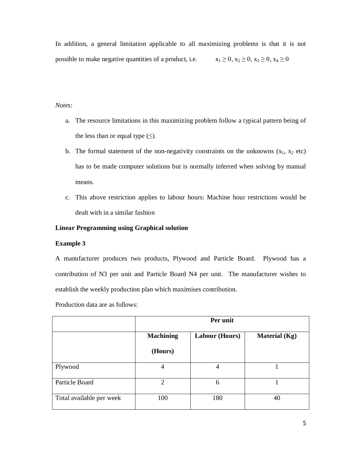In addition, a general limitation applicable to all maximizing problems is that it is not possible to make negative quantities of a product, i.e.  $x_1 \ge 0, x_2 \ge 0, x_3 \ge 0, x_4 \ge 0$ 

# *Notes:*

- a. The resource limitations in this maximizing problem follow a typical pattern being of the less than or equal type  $(\le)$ .
- b. The formal statement of the non-negativity constraints on the unknowns  $(x_1, x_2 \text{ etc})$ has to be made computer solutions but is normally inferred when solving by manual means.
- c. This above restriction applies to labour hours: Machine hour restrictions would be dealt with in a similar fashion

# **Linear Programming using Graphical solution**

## **Example 3**

A manufacturer produces two products, Plywood and Particle Board. Plywood has a contribution of N3 per unit and Particle Board N4 per unit. The manufacturer wishes to establish the weekly production plan which maximises contribution.

Production data are as follows:

|                          | Per unit         |                       |                      |  |  |
|--------------------------|------------------|-----------------------|----------------------|--|--|
|                          | <b>Machining</b> | <b>Labour (Hours)</b> | <b>Material</b> (Kg) |  |  |
|                          | (Hours)          |                       |                      |  |  |
| Plywood                  | 4                | 4                     |                      |  |  |
| Particle Board           | 2                | 6                     |                      |  |  |
| Total available per week | 100              | 180                   | 40                   |  |  |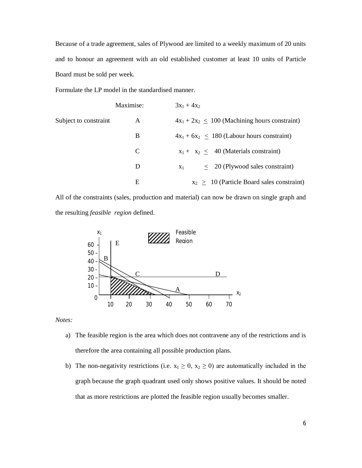Because of a trade agreement, sales of Plywood are limited to a weekly maximum of 20 units and to honour an agreement with an old established customer at least 10 units of Particle Board must be sold per week.

Formulate the LP model in the standardised manner.

|                       | Maximise: | $3x_1 + 4x_2$                                      |
|-----------------------|-----------|----------------------------------------------------|
| Subject to constraint | A         | $4x_1 + 2x_2 \le 100$ (Machining hours constraint) |
|                       | B         | $4x_1 + 6x_2 < 180$ (Labour hours constraint)      |
|                       | C         | $x_1 + x_2 < 40$ (Materials constraint)            |
|                       | D         | $\leq$ 20 (Plywood sales constraint)<br>$X_1$      |
|                       | Е         | $x_2 > 10$ (Particle Board sales constraint)       |

All of the constraints (sales, production and material) can now be drawn on single graph and the resulting *feasible region* defined.



*Notes:*

- a) The feasible region is the area which does not contravene any of the restrictions and is therefore the area containing all possible production plans.
- b) The non-negativity restrictions (i.e.  $x_1 \ge 0$ ,  $x_2 \ge 0$ ) are automatically included in the graph because the graph quadrant used only shows positive values. It should be noted that as more restrictions are plotted the feasible region usually becomes smaller.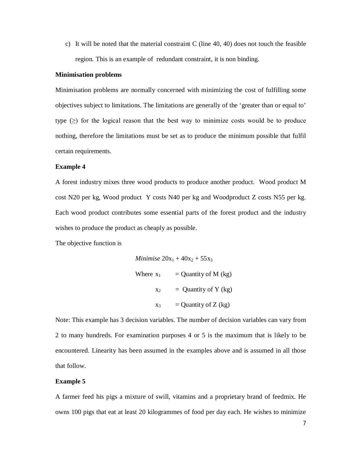c) It will be noted that the material constraint C (line 40, 40) does not touch the feasible region. This is an example of redundant constraint, it is non binding.

#### **Minimisation problems**

Minimisation problems are normally concerned with minimizing the cost of fulfilling some objectives subject to limitations. The limitations are generally of the 'greater than or equal to' type  $(\geq)$  for the logical reason that the best way to minimize costs would be to produce nothing, therefore the limitations must be set as to produce the minimum possible that fulfil certain requirements.

# **Example 4**

A forest industry mixes three wood products to produce another product. Wood product M cost N20 per kg, Wood product Y costs N40 per kg and Woodproduct Z costs N55 per kg. Each wood product contributes some essential parts of the forest product and the industry wishes to produce the product as cheaply as possible.

The objective function is

Minimise 
$$
20x_1 + 40x_2 + 55x_3
$$
  
\nWhere  $x_1$  = Quantity of M (kg)  
\n $x_2$  = Quantity of Y (kg)  
\n $x_3$  = Quantity of Z (kg)

Note: This example has 3 decision variables. The number of decision variables can vary from 2 to many hundreds. For examination purposes 4 or 5 is the maximum that is likely to be encountered. Linearity has been assumed in the examples above and is assumed in all those that follow.

# **Example 5**

A farmer feed his pigs a mixture of swill, vitamins and a proprietary brand of feedmix. He owns 100 pigs that eat at least 20 kilogrammes of food per day each. He wishes to minimize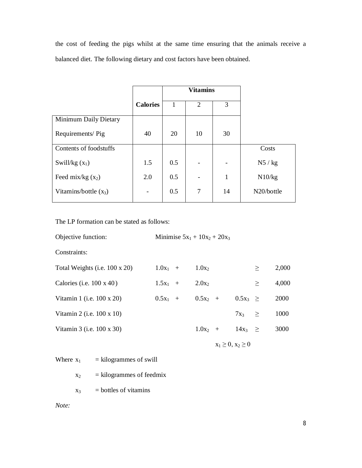the cost of feeding the pigs whilst at the same time ensuring that the animals receive a balanced diet. The following dietary and cost factors have been obtained.

|                         |                 |     | <b>Vitamins</b> |              |            |
|-------------------------|-----------------|-----|-----------------|--------------|------------|
|                         | <b>Calories</b> |     | $\overline{2}$  | 3            |            |
| Minimum Daily Dietary   |                 |     |                 |              |            |
| Requirements/Pig        | 40              | 20  | 10              | 30           |            |
| Contents of foodstuffs  |                 |     |                 |              | Costs      |
| Swill/kg $(x_1)$        | 1.5             | 0.5 |                 |              | $N5$ / kg  |
| Feed mix/kg $(x_2)$     | 2.0             | 0.5 |                 | $\mathbf{1}$ | N10/kg     |
| Vitamins/bottle $(x_3)$ |                 | 0.5 | 7               | 14           | N20/bottle |

The LP formation can be stated as follows:

| Objective function:                   | Minimise $5x_1 + 10x_2 + 20x_3$ |            |                        |              |        |       |
|---------------------------------------|---------------------------------|------------|------------------------|--------------|--------|-------|
| Constraints:                          |                                 |            |                        |              |        |       |
| Total Weights (i.e. $100 \times 20$ ) | $1.0x_1 +$                      | $1.0x_2$   |                        |              | $\geq$ | 2,000 |
| Calories (i.e. $100 \times 40$ )      | $1.5x_1 +$                      | $2.0x_2$   |                        |              | $\geq$ | 4,000 |
| Vitamin 1 (i.e. $100 \times 20$ )     | $0.5x_1 +$                      | $0.5x_2 +$ |                        | $0.5x_3 \ge$ |        | 2000  |
| Vitamin 2 (i.e. $100 \times 10$ )     |                                 |            |                        | $7x_3$       | $\geq$ | 1000  |
| Vitamin 3 (i.e. $100 \times 30$ )     |                                 | $1.0x_2 +$ |                        | $14x_3 \geq$ |        | 3000  |
|                                       |                                 |            | $x_1 \ge 0, x_2 \ge 0$ |              |        |       |

Where  $x_1$  = kilogrammes of swill

- $x_2$  = kilogrammes of feedmix
- $x_3$  = bottles of vitamins

*Note:*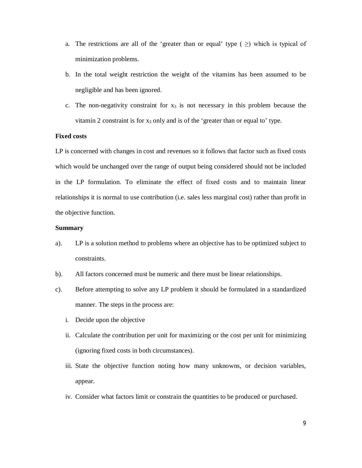- a. The restrictions are all of the 'greater than or equal' type ( $\geq$ ) which is typical of minimization problems.
- b. In the total weight restriction the weight of the vitamins has been assumed to be negligible and has been ignored.
- c. The non-negativity constraint for  $x_3$  is not necessary in this problem because the vitamin 2 constraint is for  $x_3$  only and is of the 'greater than or equal to' type.

# **Fixed costs**

LP is concerned with changes in cost and revenues so it follows that factor such as fixed costs which would be unchanged over the range of output being considered should not be included in the LP formulation. To eliminate the effect of fixed costs and to maintain linear relationships it is normal to use contribution (i.e. sales less marginal cost) rather than profit in the objective function.

# **Summary**

- a). LP is a solution method to problems where an objective has to be optimized subject to constraints.
- b). All factors concerned must be numeric and there must be linear relationships.
- c). Before attempting to solve any LP problem it should be formulated in a standardized manner. The steps in the process are:
	- i. Decide upon the objective
	- ii. Calculate the contribution per unit for maximizing or the cost per unit for minimizing (ignoring fixed costs in both circumstances).
	- iii. State the objective function noting how many unknowns, or decision variables, appear.
	- iv. Consider what factors limit or constrain the quantities to be produced or purchased.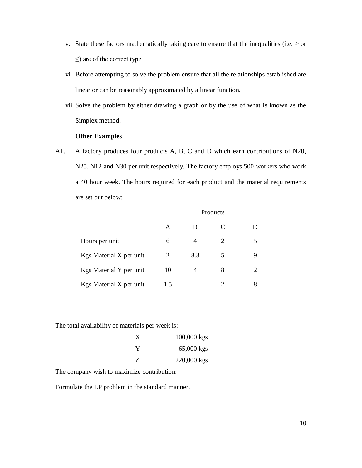- v. State these factors mathematically taking care to ensure that the inequalities (i.e.  $\geq$  or  $\leq$ ) are of the correct type.
- vi. Before attempting to solve the problem ensure that all the relationships established are linear or can be reasonably approximated by a linear function.
- vii. Solve the problem by either drawing a graph or by the use of what is known as the Simplex method.

# **Other Examples**

A1. A factory produces four products A, B, C and D which earn contributions of N20, N25, N12 and N30 per unit respectively. The factory employs 500 workers who work a 40 hour week. The hours required for each product and the material requirements are set out below:

|                         | Products |     |   |                             |  |
|-------------------------|----------|-----|---|-----------------------------|--|
|                         | A        | В   |   | D                           |  |
| Hours per unit          | 6        | 4   | 2 |                             |  |
| Kgs Material X per unit | 2        | 8.3 | 5 | 9                           |  |
| Kgs Material Y per unit | 10       | 4   | 8 | $\mathcal{D}_{\mathcal{A}}$ |  |
| Kgs Material X per unit | 1.5      |     |   | 8                           |  |

The total availability of materials per week is:

| X | $100,000$ kgs |
|---|---------------|
| Y | $65,000$ kgs  |
| Z | 220,000 kgs   |

The company wish to maximize contribution:

Formulate the LP problem in the standard manner.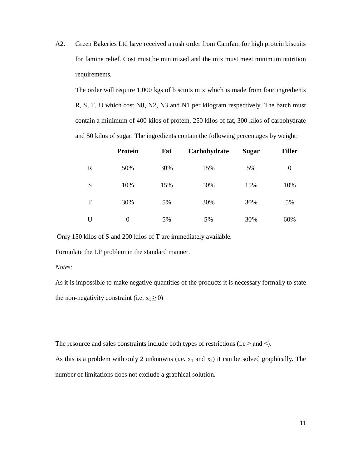A2. Green Bakeries Ltd have received a rush order from Camfam for high protein biscuits for famine relief. Cost must be minimized and the mix must meet minimum nutrition requirements.

The order will require 1,000 kgs of biscuits mix which is made from four ingredients R, S, T, U which cost N8, N2, N3 and N1 per kilogram respectively. The batch must contain a minimum of 400 kilos of protein, 250 kilos of fat, 300 kilos of carbohydrate and 50 kilos of sugar. The ingredients contain the following percentages by weight:

|             | <b>Protein</b> | Fat | Carbohydrate | <b>Sugar</b> | <b>Filler</b> |
|-------------|----------------|-----|--------------|--------------|---------------|
| $\mathbf R$ | 50%            | 30% | 15%          | 5%           | 0             |
| S           | 10%            | 15% | 50%          | 15%          | 10%           |
| T           | 30%            | 5%  | 30%          | 30%          | 5%            |
| U           | 0              | 5%  | 5%           | 30%          | 60%           |

Only 150 kilos of S and 200 kilos of T are immediately available.

Formulate the LP problem in the standard manner.

*Notes:*

As it is impossible to make negative quantities of the products it is necessary formally to state the non-negativity constraint (i.e.  $x_1 \ge 0$ )

The resource and sales constraints include both types of restrictions (i.e  $\geq$  and  $\leq$ ).

As this is a problem with only 2 unknowns (i.e.  $x_1$  and  $x_2$ ) it can be solved graphically. The number of limitations does not exclude a graphical solution.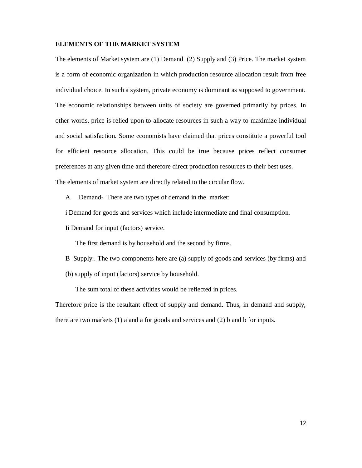### **ELEMENTS OF THE MARKET SYSTEM**

The elements of Market system are (1) Demand (2) Supply and (3) Price. The market system is a form of economic organization in which production resource allocation result from free individual choice. In such a system, private economy is dominant as supposed to government. The economic relationships between units of society are governed primarily by prices. In other words, price is relied upon to allocate resources in such a way to maximize individual and social satisfaction. Some economists have claimed that prices constitute a powerful tool for efficient resource allocation. This could be true because prices reflect consumer preferences at any given time and therefore direct production resources to their best uses. The elements of market system are directly related to the circular flow.

A. Demand- There are two types of demand in the market:

i Demand for goods and services which include intermediate and final consumption.

Ii Demand for input (factors) service.

The first demand is by household and the second by firms.

- B Supply:. The two components here are (a) supply of goods and services (by firms) and
- (b) supply of input (factors) service by household.

The sum total of these activities would be reflected in prices.

Therefore price is the resultant effect of supply and demand. Thus, in demand and supply, there are two markets (1) a and a for goods and services and (2) b and b for inputs.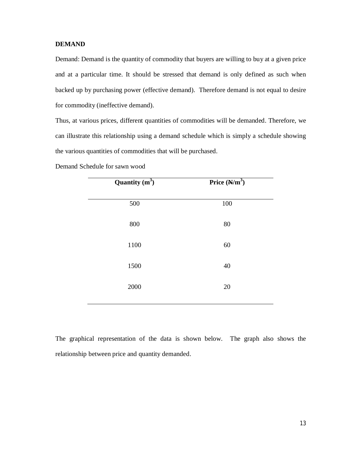# **DEMAND**

Demand: Demand is the quantity of commodity that buyers are willing to buy at a given price and at a particular time. It should be stressed that demand is only defined as such when backed up by purchasing power (effective demand). Therefore demand is not equal to desire for commodity (ineffective demand).

Thus, at various prices, different quantities of commodities will be demanded. Therefore, we can illustrate this relationship using a demand schedule which is simply a schedule showing the various quantities of commodities that will be purchased.

| Quantity $(m^3)$ | Price $(N/m^3)$ |
|------------------|-----------------|
| 500              | $100\,$         |
| 800              | 80              |
| 1100             | 60              |
| 1500             | 40              |
| 2000             | 20              |
|                  |                 |

Demand Schedule for sawn wood

The graphical representation of the data is shown below. The graph also shows the relationship between price and quantity demanded.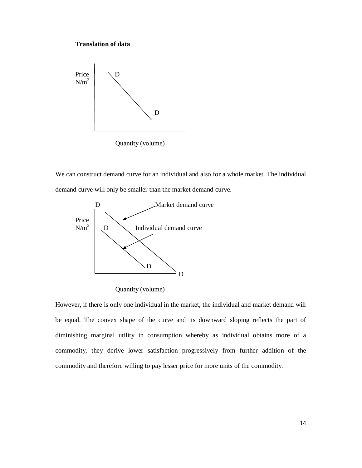### **Translation of data**



We can construct demand curve for an individual and also for a whole market. The individual demand curve will only be smaller than the market demand curve.



Quantity (volume)

However, if there is only one individual in the market, the individual and market demand will be equal. The convex shape of the curve and its downward sloping reflects the part of diminishing marginal utility in consumption whereby as individual obtains more of a commodity, they derive lower satisfaction progressively from further addition of the commodity and therefore willing to pay lesser price for more units of the commodity.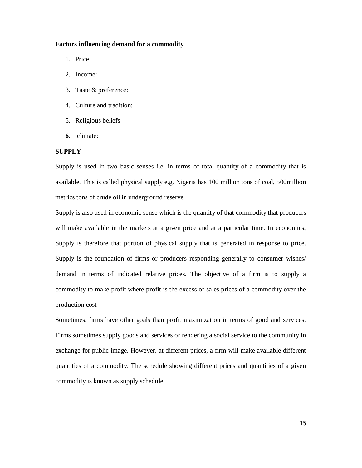#### **Factors influencing demand for a commodity**

- 1. Price
- 2. Income:
- 3. Taste & preference:
- 4. Culture and tradition:
- 5. Religious beliefs
- **6.** climate:

## **SUPPLY**

Supply is used in two basic senses i.e. in terms of total quantity of a commodity that is available. This is called physical supply e.g. Nigeria has 100 million tons of coal, 500million metrics tons of crude oil in underground reserve.

Supply is also used in economic sense which is the quantity of that commodity that producers will make available in the markets at a given price and at a particular time. In economics, Supply is therefore that portion of physical supply that is generated in response to price. Supply is the foundation of firms or producers responding generally to consumer wishes/ demand in terms of indicated relative prices. The objective of a firm is to supply a commodity to make profit where profit is the excess of sales prices of a commodity over the production cost

Sometimes, firms have other goals than profit maximization in terms of good and services. Firms sometimes supply goods and services or rendering a social service to the community in exchange for public image. However, at different prices, a firm will make available different quantities of a commodity. The schedule showing different prices and quantities of a given commodity is known as supply schedule.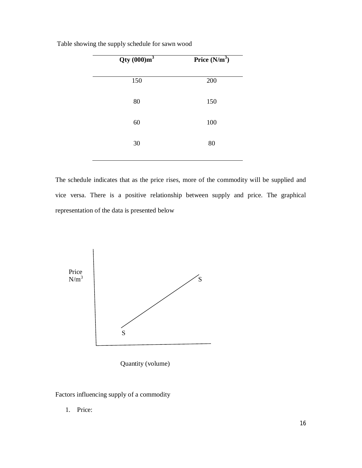| Qty(000)m <sup>3</sup> | Price $(N/m^3)$ |
|------------------------|-----------------|
| 150                    | 200             |
| 80                     | 150             |
| 60                     | 100             |
| 30                     | 80              |
|                        |                 |

Table showing the supply schedule for sawn wood

The schedule indicates that as the price rises, more of the commodity will be supplied and vice versa. There is a positive relationship between supply and price. The graphical representation of the data is presented below



Quantity (volume)

Factors influencing supply of a commodity

1. Price: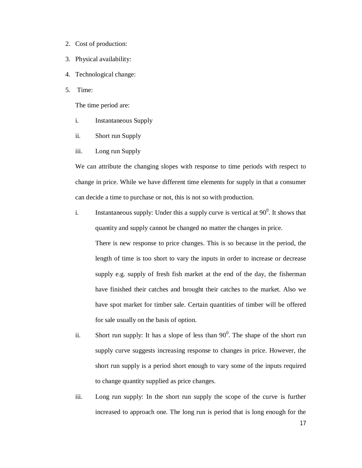- 2. Cost of production:
- 3. Physical availability:
- 4. Technological change:
- 5. Time:

The time period are:

- i. Instantaneous Supply
- ii. Short run Supply
- iii. Long run Supply

We can attribute the changing slopes with response to time periods with respect to change in price. While we have different time elements for supply in that a consumer can decide a time to purchase or not, this is not so with production.

i. Instantaneous supply: Under this a supply curve is vertical at  $90^\circ$ . It shows that quantity and supply cannot be changed no matter the changes in price.

There is new response to price changes. This is so because in the period, the length of time is too short to vary the inputs in order to increase or decrease supply e.g. supply of fresh fish market at the end of the day, the fisherman have finished their catches and brought their catches to the market. Also we have spot market for timber sale. Certain quantities of timber will be offered for sale usually on the basis of option.

- ii. Short run supply: It has a slope of less than  $90^\circ$ . The shape of the short run supply curve suggests increasing response to changes in price. However, the short run supply is a period short enough to vary some of the inputs required to change quantity supplied as price changes.
- iii. Long run supply: In the short run supply the scope of the curve is further increased to approach one. The long run is period that is long enough for the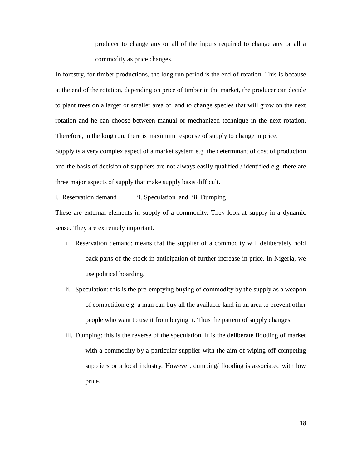producer to change any or all of the inputs required to change any or all a commodity as price changes.

In forestry, for timber productions, the long run period is the end of rotation. This is because at the end of the rotation, depending on price of timber in the market, the producer can decide to plant trees on a larger or smaller area of land to change species that will grow on the next rotation and he can choose between manual or mechanized technique in the next rotation. Therefore, in the long run, there is maximum response of supply to change in price.

Supply is a very complex aspect of a market system e.g. the determinant of cost of production and the basis of decision of suppliers are not always easily qualified / identified e.g. there are three major aspects of supply that make supply basis difficult.

i. Reservation demand ii. Speculation and iii. Dumping These are external elements in supply of a commodity. They look at supply in a dynamic sense. They are extremely important.

- i. Reservation demand: means that the supplier of a commodity will deliberately hold back parts of the stock in anticipation of further increase in price. In Nigeria, we use political hoarding.
- ii. Speculation: this is the pre-emptying buying of commodity by the supply as a weapon of competition e.g. a man can buy all the available land in an area to prevent other people who want to use it from buying it. Thus the pattern of supply changes.
- iii. Dumping: this is the reverse of the speculation. It is the deliberate flooding of market with a commodity by a particular supplier with the aim of wiping off competing suppliers or a local industry. However, dumping/ flooding is associated with low price.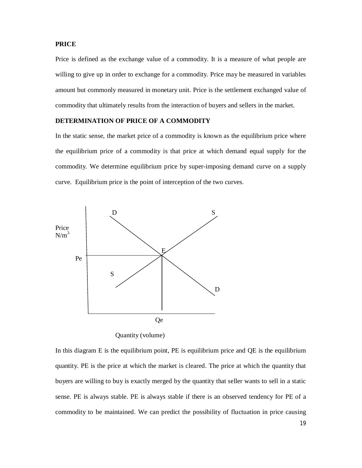# **PRICE**

Price is defined as the exchange value of a commodity. It is a measure of what people are willing to give up in order to exchange for a commodity. Price may be measured in variables amount but commonly measured in monetary unit. Price is the settlement exchanged value of commodity that ultimately results from the interaction of buyers and sellers in the market.

## **DETERMINATION OF PRICE OF A COMMODITY**

In the static sense, the market price of a commodity is known as the equilibrium price where the equilibrium price of a commodity is that price at which demand equal supply for the commodity. We determine equilibrium price by super-imposing demand curve on a supply curve. Equilibrium price is the point of interception of the two curves.



Quantity (volume)

In this diagram E is the equilibrium point, PE is equilibrium price and QE is the equilibrium quantity. PE is the price at which the market is cleared. The price at which the quantity that buyers are willing to buy is exactly merged by the quantity that seller wants to sell in a static sense. PE is always stable. PE is always stable if there is an observed tendency for PE of a commodity to be maintained. We can predict the possibility of fluctuation in price causing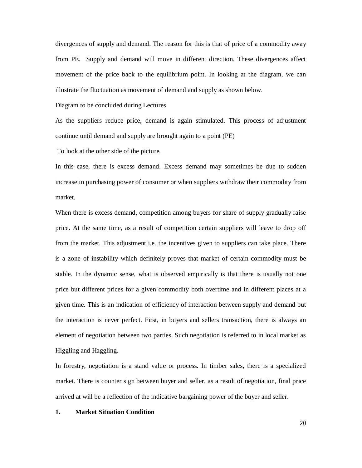divergences of supply and demand. The reason for this is that of price of a commodity away from PE. Supply and demand will move in different direction. These divergences affect movement of the price back to the equilibrium point. In looking at the diagram, we can illustrate the fluctuation as movement of demand and supply as shown below.

Diagram to be concluded during Lectures

As the suppliers reduce price, demand is again stimulated. This process of adjustment continue until demand and supply are brought again to a point (PE)

To look at the other side of the picture.

In this case, there is excess demand. Excess demand may sometimes be due to sudden increase in purchasing power of consumer or when suppliers withdraw their commodity from market.

When there is excess demand, competition among buyers for share of supply gradually raise price. At the same time, as a result of competition certain suppliers will leave to drop off from the market. This adjustment i.e. the incentives given to suppliers can take place. There is a zone of instability which definitely proves that market of certain commodity must be stable. In the dynamic sense, what is observed empirically is that there is usually not one price but different prices for a given commodity both overtime and in different places at a given time. This is an indication of efficiency of interaction between supply and demand but the interaction is never perfect. First, in buyers and sellers transaction, there is always an element of negotiation between two parties. Such negotiation is referred to in local market as Higgling and Haggling.

In forestry, negotiation is a stand value or process. In timber sales, there is a specialized market. There is counter sign between buyer and seller, as a result of negotiation, final price arrived at will be a reflection of the indicative bargaining power of the buyer and seller.

### **1. Market Situation Condition**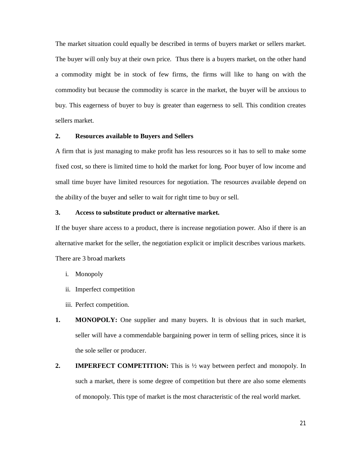The market situation could equally be described in terms of buyers market or sellers market. The buyer will only buy at their own price. Thus there is a buyers market, on the other hand a commodity might be in stock of few firms, the firms will like to hang on with the commodity but because the commodity is scarce in the market, the buyer will be anxious to buy. This eagerness of buyer to buy is greater than eagerness to sell. This condition creates sellers market.

# **2. Resources available to Buyers and Sellers**

A firm that is just managing to make profit has less resources so it has to sell to make some fixed cost, so there is limited time to hold the market for long. Poor buyer of low income and small time buyer have limited resources for negotiation. The resources available depend on the ability of the buyer and seller to wait for right time to buy or sell.

### **3. Access to substitute product or alternative market.**

If the buyer share access to a product, there is increase negotiation power. Also if there is an alternative market for the seller, the negotiation explicit or implicit describes various markets. There are 3 broad markets

- i. Monopoly
- ii. Imperfect competition
- iii. Perfect competition.
- **1. MONOPOLY:** One supplier and many buyers. It is obvious that in such market, seller will have a commendable bargaining power in term of selling prices, since it is the sole seller or producer.
- **2. IMPERFECT COMPETITION:** This is  $\frac{1}{2}$  way between perfect and monopoly. In such a market, there is some degree of competition but there are also some elements of monopoly. This type of market is the most characteristic of the real world market.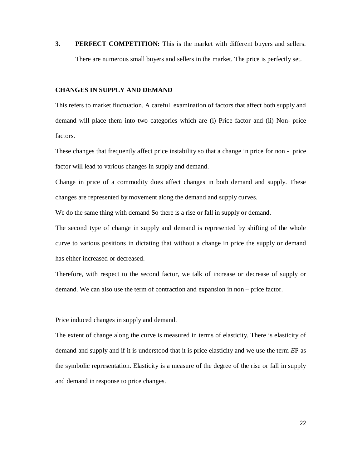**3. PERFECT COMPETITION:** This is the market with different buyers and sellers. There are numerous small buyers and sellers in the market. The price is perfectly set.

### **CHANGES IN SUPPLY AND DEMAND**

This refers to market fluctuation. A careful examination of factors that affect both supply and demand will place them into two categories which are (i) Price factor and (ii) Non- price factors.

These changes that frequently affect price instability so that a change in price for non - price factor will lead to various changes in supply and demand.

Change in price of a commodity does affect changes in both demand and supply. These changes are represented by movement along the demand and supply curves.

We do the same thing with demand So there is a rise or fall in supply or demand.

The second type of change in supply and demand is represented by shifting of the whole curve to various positions in dictating that without a change in price the supply or demand has either increased or decreased.

Therefore, with respect to the second factor, we talk of increase or decrease of supply or demand. We can also use the term of contraction and expansion in non – price factor.

Price induced changes in supply and demand.

The extent of change along the curve is measured in terms of elasticity. There is elasticity of demand and supply and if it is understood that it is price elasticity and we use the term *E*P as the symbolic representation. Elasticity is a measure of the degree of the rise or fall in supply and demand in response to price changes.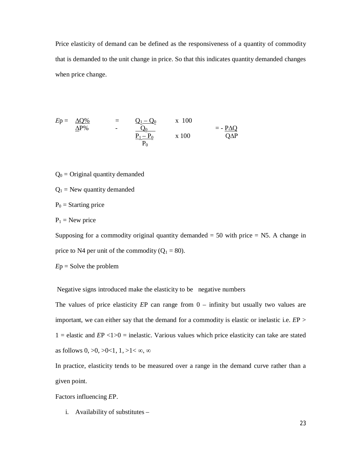Price elasticity of demand can be defined as the responsiveness of a quantity of commodity that is demanded to the unit change in price. So that this indicates quantity demanded changes when price change.

$$
Ep = \frac{\Delta Q\%}{\Delta P\%} = \frac{Q_1 - Q_0}{Q_0} \times 100 = -\frac{P\Delta Q}{Q\Delta P}
$$
  

$$
\frac{P_1 - P_0}{P_0} \times 100 = -\frac{P\Delta Q}{Q\Delta P}
$$

- $Q_0$  = Original quantity demanded
- $Q_1$  = New quantity demanded
- $P_0$  = Starting price
- $P_1$  = New price

Supposing for a commodity original quantity demanded  $= 50$  with price  $= N5$ . A change in price to N4 per unit of the commodity  $(Q_1 = 80)$ .

*E*p = Solve the problem

Negative signs introduced make the elasticity to be negative numbers

The values of price elasticity *E*P can range from 0 – infinity but usually two values are important, we can either say that the demand for a commodity is elastic or inelastic i.e. *E*P >  $1 =$  elastic and  $EP < 1>0 =$  inelastic. Various values which price elasticity can take are stated as follows  $0, >0, >0 < 1, 1, >1 < \infty$ ,  $\infty$ 

In practice, elasticity tends to be measured over a range in the demand curve rather than a given point.

Factors influencing *E*P.

i. Availability of substitutes –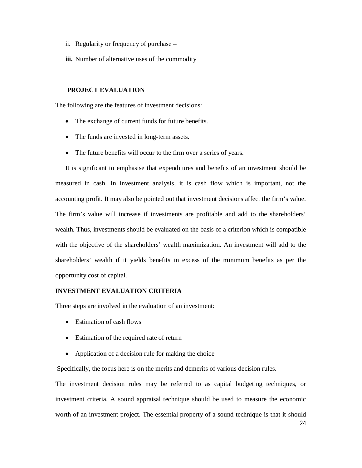- ii. Regularity or frequency of purchase –
- **iii.** Number of alternative uses of the commodity

# **PROJECT EVALUATION**

The following are the features of investment decisions:

- The exchange of current funds for future benefits.
- The funds are invested in long-term assets.
- The future benefits will occur to the firm over a series of years.

It is significant to emphasise that expenditures and benefits of an investment should be measured in cash. In investment analysis, it is cash flow which is important, not the accounting profit. It may also be pointed out that investment decisions affect the firm's value. The firm's value will increase if investments are profitable and add to the shareholders' wealth. Thus, investments should be evaluated on the basis of a criterion which is compatible with the objective of the shareholders' wealth maximization. An investment will add to the shareholders' wealth if it yields benefits in excess of the minimum benefits as per the opportunity cost of capital.

# **INVESTMENT EVALUATION CRITERIA**

Three steps are involved in the evaluation of an investment:

- Estimation of cash flows
- Estimation of the required rate of return
- Application of a decision rule for making the choice

Specifically, the focus here is on the merits and demerits of various decision rules.

The investment decision rules may be referred to as capital budgeting techniques, or investment criteria. A sound appraisal technique should be used to measure the economic worth of an investment project. The essential property of a sound technique is that it should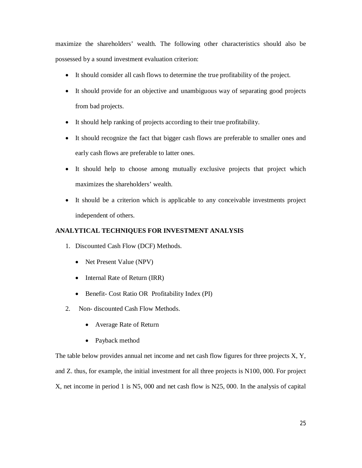maximize the shareholders' wealth. The following other characteristics should also be possessed by a sound investment evaluation criterion:

- It should consider all cash flows to determine the true profitability of the project.
- It should provide for an objective and unambiguous way of separating good projects from bad projects.
- It should help ranking of projects according to their true profitability.
- It should recognize the fact that bigger cash flows are preferable to smaller ones and early cash flows are preferable to latter ones.
- It should help to choose among mutually exclusive projects that project which maximizes the shareholders' wealth.
- It should be a criterion which is applicable to any conceivable investments project independent of others.

# **ANALYTICAL TECHNIQUES FOR INVESTMENT ANALYSIS**

- 1. Discounted Cash Flow (DCF) Methods.
	- Net Present Value (NPV)
	- Internal Rate of Return (IRR)
	- Benefit- Cost Ratio OR Profitability Index (PI)
- 2. Non- discounted Cash Flow Methods.
	- Average Rate of Return
	- Payback method

The table below provides annual net income and net cash flow figures for three projects X, Y, and Z. thus, for example, the initial investment for all three projects is N100, 000. For project X, net income in period 1 is N5, 000 and net cash flow is N25, 000. In the analysis of capital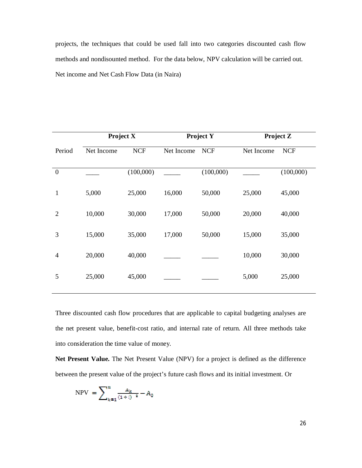projects, the techniques that could be used fall into two categories discounted cash flow methods and nondisounted method. For the data below, NPV calculation will be carried out. Net income and Net Cash Flow Data (in Naira)

|                  | Project X  |            | <b>Project Y</b> |            | <b>Project Z</b> |            |
|------------------|------------|------------|------------------|------------|------------------|------------|
| Period           | Net Income | <b>NCF</b> | Net Income       | <b>NCF</b> | Net Income       | <b>NCF</b> |
| $\boldsymbol{0}$ |            | (100,000)  |                  | (100,000)  |                  | (100,000)  |
| $\mathbf{1}$     | 5,000      | 25,000     | 16,000           | 50,000     | 25,000           | 45,000     |
| $\overline{2}$   | 10,000     | 30,000     | 17,000           | 50,000     | 20,000           | 40,000     |
| 3                | 15,000     | 35,000     | 17,000           | 50,000     | 15,000           | 35,000     |
| $\overline{4}$   | 20,000     | 40,000     |                  |            | 10,000           | 30,000     |
| 5                | 25,000     | 45,000     |                  |            | 5,000            | 25,000     |

Three discounted cash flow procedures that are applicable to capital budgeting analyses are the net present value, benefit-cost ratio, and internal rate of return. All three methods take into consideration the time value of money.

**Net Present Value.** The Net Present Value (NPV) for a project is defined as the difference between the present value of the project's future cash flows and its initial investment. Or

$$
NPV = \sum_{k=1}^{n} \frac{A_k}{(1+i)^{-2}} - A_0
$$

26